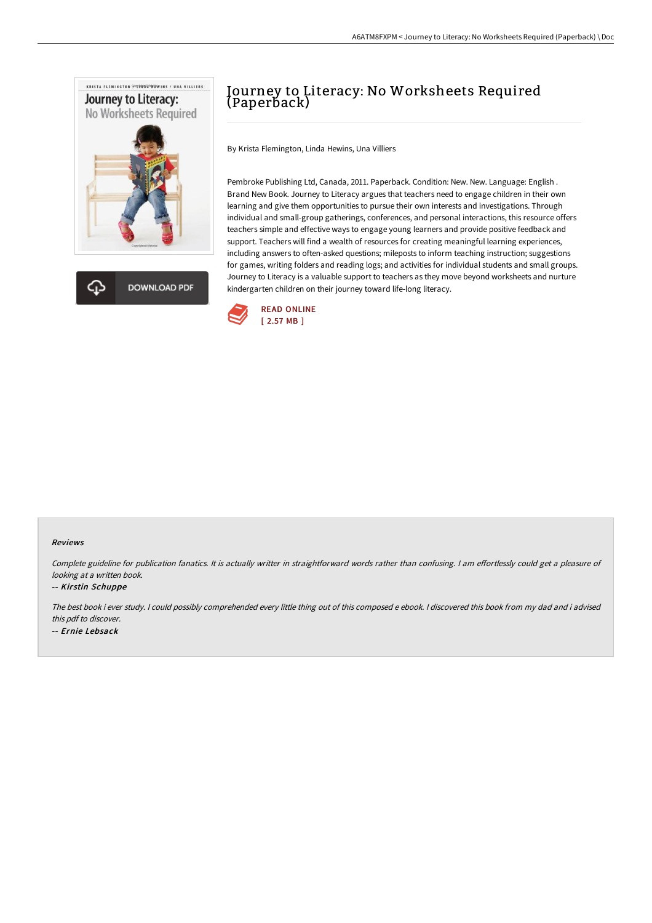



# Journey to Literacy: No Worksheets Required (Paperback)

By Krista Flemington, Linda Hewins, Una Villiers

Pembroke Publishing Ltd, Canada, 2011. Paperback. Condition: New. New. Language: English . Brand New Book. Journey to Literacy argues that teachers need to engage children in their own learning and give them opportunities to pursue their own interests and investigations. Through individual and small-group gatherings, conferences, and personal interactions, this resource offers teachers simple and effective ways to engage young learners and provide positive feedback and support. Teachers will find a wealth of resources for creating meaningful learning experiences, including answers to often-asked questions; mileposts to inform teaching instruction; suggestions for games, writing folders and reading logs; and activities for individual students and small groups. Journey to Literacy is a valuable support to teachers as they move beyond worksheets and nurture kindergarten children on their journey toward life-long literacy.



#### Reviews

Complete guideline for publication fanatics. It is actually writter in straightforward words rather than confusing. I am effortlessly could get a pleasure of looking at <sup>a</sup> written book.

#### -- Kirstin Schuppe

The best book i ever study. <sup>I</sup> could possibly comprehended every little thing out of this composed <sup>e</sup> ebook. <sup>I</sup> discovered this book from my dad and i advised this pdf to discover. -- Ernie Lebsack